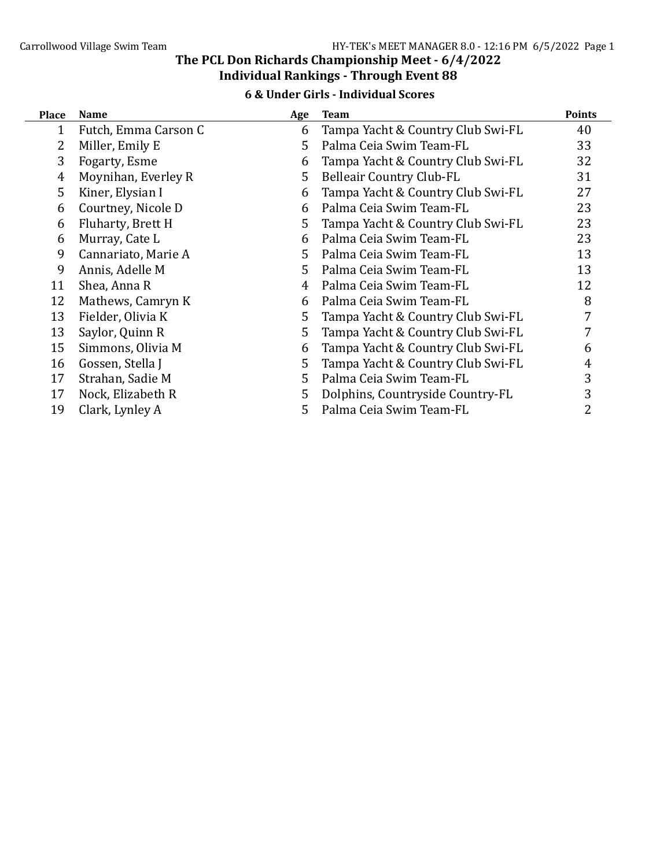#### 6 & Under Girls - Individual Scores

| <b>Place</b> | <b>Name</b>          | Age | <b>Team</b>                       | <b>Points</b> |
|--------------|----------------------|-----|-----------------------------------|---------------|
| 1            | Futch, Emma Carson C | 6   | Tampa Yacht & Country Club Swi-FL | 40            |
|              | Miller, Emily E      | 5.  | Palma Ceia Swim Team-FL           | 33            |
| 3            | Fogarty, Esme        | 6   | Tampa Yacht & Country Club Swi-FL | 32            |
| 4            | Moynihan, Everley R  | 5   | <b>Belleair Country Club-FL</b>   | 31            |
| 5            | Kiner, Elysian I     | 6   | Tampa Yacht & Country Club Swi-FL | 27            |
| 6            | Courtney, Nicole D   | 6   | Palma Ceia Swim Team-FL           | 23            |
| 6            | Fluharty, Brett H    | 5   | Tampa Yacht & Country Club Swi-FL | 23            |
| 6            | Murray, Cate L       | 6   | Palma Ceia Swim Team-FL           | 23            |
| 9            | Cannariato, Marie A  | 5.  | Palma Ceia Swim Team-FL           | 13            |
| 9            | Annis, Adelle M      | 5.  | Palma Ceia Swim Team-FL           | 13            |
| 11           | Shea, Anna R         | 4   | Palma Ceia Swim Team-FL           | 12            |
| 12           | Mathews, Camryn K    | 6   | Palma Ceia Swim Team-FL           | 8             |
| 13           | Fielder, Olivia K    | 5   | Tampa Yacht & Country Club Swi-FL | 7             |
| 13           | Saylor, Quinn R      | 5   | Tampa Yacht & Country Club Swi-FL |               |
| 15           | Simmons, Olivia M    | 6   | Tampa Yacht & Country Club Swi-FL | 6             |
| 16           | Gossen, Stella J     | 5   | Tampa Yacht & Country Club Swi-FL | 4             |
| 17           | Strahan, Sadie M     | 5   | Palma Ceia Swim Team-FL           | 3             |
| 17           | Nock, Elizabeth R    | 5   | Dolphins, Countryside Country-FL  | 3             |
| 19           | Clark, Lynley A      | 5.  | Palma Ceia Swim Team-FL           | 2             |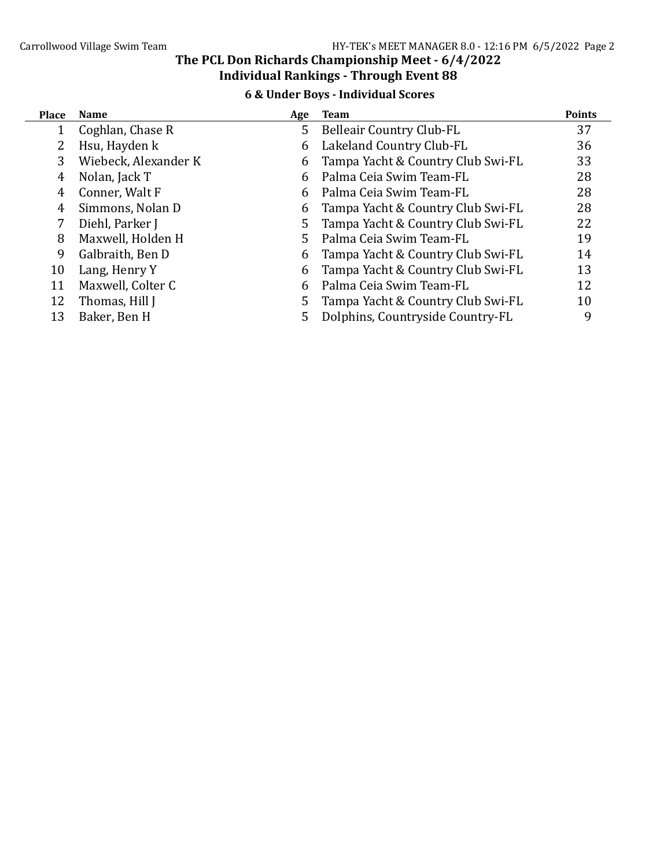6 & Under Boys - Individual Scores

| <b>Place</b> | <b>Name</b>          | Age | Team                              | <b>Points</b> |
|--------------|----------------------|-----|-----------------------------------|---------------|
|              | Coghlan, Chase R     | 5.  | <b>Belleair Country Club-FL</b>   | 37            |
|              | Hsu, Hayden k        | 6   | Lakeland Country Club-FL          | 36            |
| 3            | Wiebeck, Alexander K | 6   | Tampa Yacht & Country Club Swi-FL | 33            |
| 4            | Nolan, Jack T        | 6   | Palma Ceia Swim Team-FL           | 28            |
| 4            | Conner, Walt F       | 6   | Palma Ceia Swim Team-FL           | 28            |
| 4            | Simmons, Nolan D     | 6   | Tampa Yacht & Country Club Swi-FL | 28            |
|              | Diehl, Parker J      | 5.  | Tampa Yacht & Country Club Swi-FL | 22            |
| 8            | Maxwell, Holden H    | 5.  | Palma Ceia Swim Team-FL           | 19            |
| 9            | Galbraith, Ben D     | 6   | Tampa Yacht & Country Club Swi-FL | 14            |
| 10           | Lang, Henry Y        | 6   | Tampa Yacht & Country Club Swi-FL | 13            |
| 11           | Maxwell, Colter C    | 6   | Palma Ceia Swim Team-FL           | 12            |
| 12           | Thomas, Hill J       | 5   | Tampa Yacht & Country Club Swi-FL | 10            |
| 13           | Baker, Ben H         | 5   | Dolphins, Countryside Country-FL  | 9             |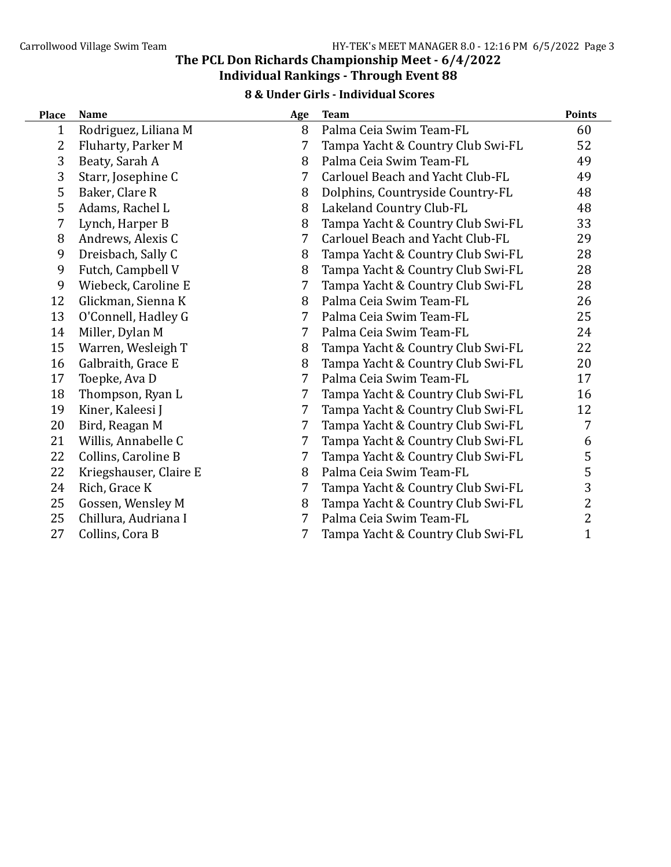#### 8 & Under Girls - Individual Scores

| <b>Place</b> | <b>Name</b>            | Age | <b>Team</b>                       | <b>Points</b>  |
|--------------|------------------------|-----|-----------------------------------|----------------|
| 1            | Rodriguez, Liliana M   | 8   | Palma Ceia Swim Team-FL           | 60             |
| 2            | Fluharty, Parker M     | 7   | Tampa Yacht & Country Club Swi-FL | 52             |
| 3            | Beaty, Sarah A         | 8   | Palma Ceia Swim Team-FL           | 49             |
| 3            | Starr, Josephine C     | 7   | Carlouel Beach and Yacht Club-FL  | 49             |
| 5            | Baker, Clare R         | 8   | Dolphins, Countryside Country-FL  | 48             |
| 5            | Adams, Rachel L        | 8   | Lakeland Country Club-FL          | 48             |
| 7            | Lynch, Harper B        | 8   | Tampa Yacht & Country Club Swi-FL | 33             |
| 8            | Andrews, Alexis C      | 7   | Carlouel Beach and Yacht Club-FL  | 29             |
| 9            | Dreisbach, Sally C     | 8   | Tampa Yacht & Country Club Swi-FL | 28             |
| 9            | Futch, Campbell V      | 8   | Tampa Yacht & Country Club Swi-FL | 28             |
| 9            | Wiebeck, Caroline E    | 7   | Tampa Yacht & Country Club Swi-FL | 28             |
| 12           | Glickman, Sienna K     | 8   | Palma Ceia Swim Team-FL           | 26             |
| 13           | O'Connell, Hadley G    | 7   | Palma Ceia Swim Team-FL           | 25             |
| 14           | Miller, Dylan M        | 7   | Palma Ceia Swim Team-FL           | 24             |
| 15           | Warren, Wesleigh T     | 8   | Tampa Yacht & Country Club Swi-FL | 22             |
| 16           | Galbraith, Grace E     | 8   | Tampa Yacht & Country Club Swi-FL | 20             |
| 17           | Toepke, Ava D          | 7   | Palma Ceia Swim Team-FL           | 17             |
| 18           | Thompson, Ryan L       | 7   | Tampa Yacht & Country Club Swi-FL | 16             |
| 19           | Kiner, Kaleesi J       | 7   | Tampa Yacht & Country Club Swi-FL | 12             |
| 20           | Bird, Reagan M         | 7   | Tampa Yacht & Country Club Swi-FL | 7              |
| 21           | Willis, Annabelle C    | 7   | Tampa Yacht & Country Club Swi-FL | 6              |
| 22           | Collins, Caroline B    | 7   | Tampa Yacht & Country Club Swi-FL | 5              |
| 22           | Kriegshauser, Claire E | 8   | Palma Ceia Swim Team-FL           | 5              |
| 24           | Rich, Grace K          | 7   | Tampa Yacht & Country Club Swi-FL | 3              |
| 25           | Gossen, Wensley M      | 8   | Tampa Yacht & Country Club Swi-FL | $\overline{c}$ |
| 25           | Chillura, Audriana I   | 7   | Palma Ceia Swim Team-FL           | 2              |
| 27           | Collins, Cora B        | 7   | Tampa Yacht & Country Club Swi-FL | $\mathbf{1}$   |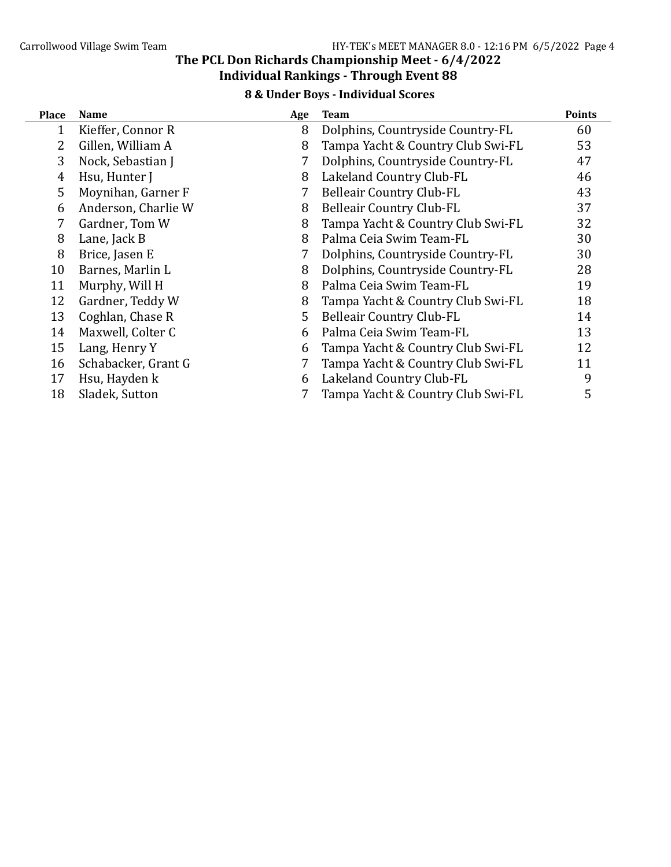#### 8 & Under Boys - Individual Scores

| <b>Place</b> | <b>Name</b>         | Age | <b>Team</b>                       | <b>Points</b> |
|--------------|---------------------|-----|-----------------------------------|---------------|
| 1            | Kieffer, Connor R   | 8   | Dolphins, Countryside Country-FL  | 60            |
| 2            | Gillen, William A   | 8   | Tampa Yacht & Country Club Swi-FL | 53            |
| 3            | Nock, Sebastian J   | 7   | Dolphins, Countryside Country-FL  | 47            |
| 4            | Hsu, Hunter J       | 8   | Lakeland Country Club-FL          | 46            |
| 5            | Moynihan, Garner F  | 7   | <b>Belleair Country Club-FL</b>   | 43            |
| 6            | Anderson, Charlie W | 8   | <b>Belleair Country Club-FL</b>   | 37            |
| 7            | Gardner, Tom W      | 8   | Tampa Yacht & Country Club Swi-FL | 32            |
| 8            | Lane, Jack B        | 8   | Palma Ceia Swim Team-FL           | 30            |
| 8            | Brice, Jasen E      |     | Dolphins, Countryside Country-FL  | 30            |
| 10           | Barnes, Marlin L    | 8   | Dolphins, Countryside Country-FL  | 28            |
| 11           | Murphy, Will H      | 8   | Palma Ceia Swim Team-FL           | 19            |
| 12           | Gardner, Teddy W    | 8   | Tampa Yacht & Country Club Swi-FL | 18            |
| 13           | Coghlan, Chase R    | 5   | <b>Belleair Country Club-FL</b>   | 14            |
| 14           | Maxwell, Colter C   | 6   | Palma Ceia Swim Team-FL           | 13            |
| 15           | Lang, Henry Y       | 6   | Tampa Yacht & Country Club Swi-FL | 12            |
| 16           | Schabacker, Grant G | 7   | Tampa Yacht & Country Club Swi-FL | 11            |
| 17           | Hsu, Hayden k       | 6   | Lakeland Country Club-FL          | 9             |
| 18           | Sladek, Sutton      |     | Tampa Yacht & Country Club Swi-FL | 5             |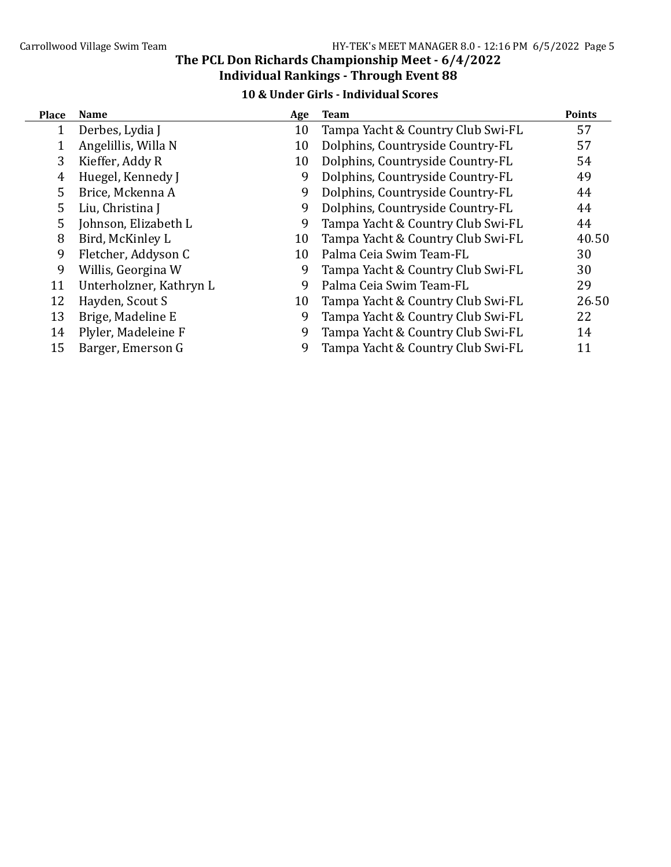## 10 & Under Girls - Individual Scores

| <b>Place</b> | <b>Name</b>             | Age | <b>Team</b>                       | <b>Points</b> |
|--------------|-------------------------|-----|-----------------------------------|---------------|
|              | Derbes, Lydia J         | 10  | Tampa Yacht & Country Club Swi-FL | 57            |
|              | Angelillis, Willa N     | 10  | Dolphins, Countryside Country-FL  | 57            |
| 3            | Kieffer, Addy R         | 10  | Dolphins, Countryside Country-FL  | 54            |
| 4            | Huegel, Kennedy J       | 9   | Dolphins, Countryside Country-FL  | 49            |
| 5            | Brice, Mckenna A        | 9   | Dolphins, Countryside Country-FL  | 44            |
| 5            | Liu, Christina J        | 9   | Dolphins, Countryside Country-FL  | 44            |
| 5            | Johnson, Elizabeth L    | 9   | Tampa Yacht & Country Club Swi-FL | 44            |
| 8            | Bird, McKinley L        | 10  | Tampa Yacht & Country Club Swi-FL | 40.50         |
| 9            | Fletcher, Addyson C     | 10  | Palma Ceia Swim Team-FL           | 30            |
| 9            | Willis, Georgina W      | 9   | Tampa Yacht & Country Club Swi-FL | 30            |
| 11           | Unterholzner, Kathryn L | 9   | Palma Ceia Swim Team-FL           | 29            |
| 12           | Hayden, Scout S         | 10  | Tampa Yacht & Country Club Swi-FL | 26.50         |
| 13           | Brige, Madeline E       | 9   | Tampa Yacht & Country Club Swi-FL | 22            |
| 14           | Plyler, Madeleine F     | 9   | Tampa Yacht & Country Club Swi-FL | 14            |
| 15           | Barger, Emerson G       | 9   | Tampa Yacht & Country Club Swi-FL | 11            |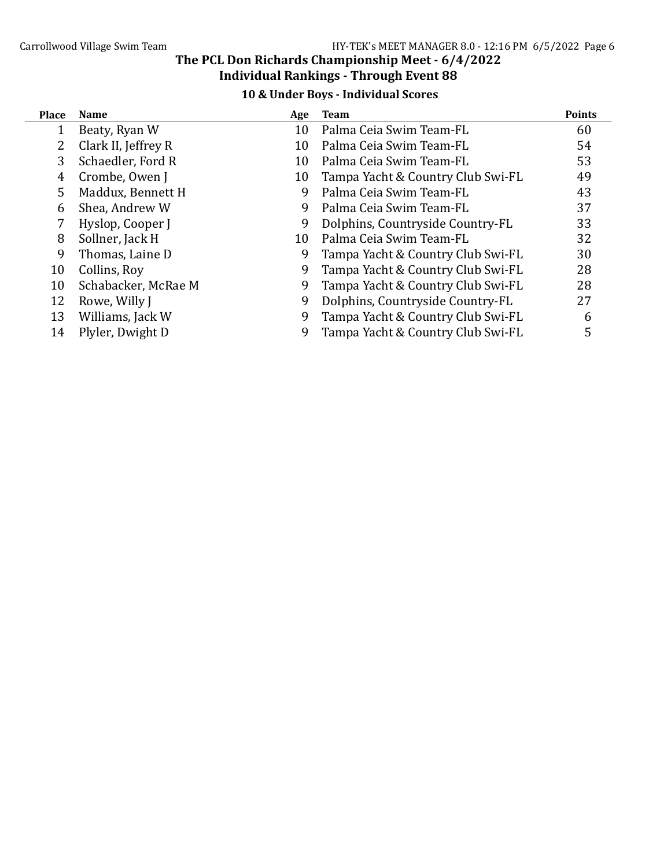## 10 & Under Boys - Individual Scores

| <b>Place</b>   | <b>Name</b>         | Age | Team                              | <b>Points</b> |
|----------------|---------------------|-----|-----------------------------------|---------------|
|                | Beaty, Ryan W       | 10  | Palma Ceia Swim Team-FL           | 60            |
| $\overline{2}$ | Clark II, Jeffrey R | 10  | Palma Ceia Swim Team-FL           | 54            |
| 3              | Schaedler, Ford R   | 10  | Palma Ceia Swim Team-FL           | 53            |
| 4              | Crombe, Owen J      | 10  | Tampa Yacht & Country Club Swi-FL | 49            |
| 5              | Maddux, Bennett H   | 9   | Palma Ceia Swim Team-FL           | 43            |
| 6              | Shea, Andrew W      | 9   | Palma Ceia Swim Team-FL           | 37            |
|                | Hyslop, Cooper J    | 9   | Dolphins, Countryside Country-FL  | 33            |
| 8              | Sollner, Jack H     | 10  | Palma Ceia Swim Team-FL           | 32            |
| 9              | Thomas, Laine D     | 9   | Tampa Yacht & Country Club Swi-FL | 30            |
| 10             | Collins, Roy        | 9   | Tampa Yacht & Country Club Swi-FL | 28            |
| 10             | Schabacker, McRae M | 9   | Tampa Yacht & Country Club Swi-FL | 28            |
| 12             | Rowe, Willy J       | 9   | Dolphins, Countryside Country-FL  | 27            |
| 13             | Williams, Jack W    | 9   | Tampa Yacht & Country Club Swi-FL | 6             |
| 14             | Plyler, Dwight D    | 9   | Tampa Yacht & Country Club Swi-FL | 5             |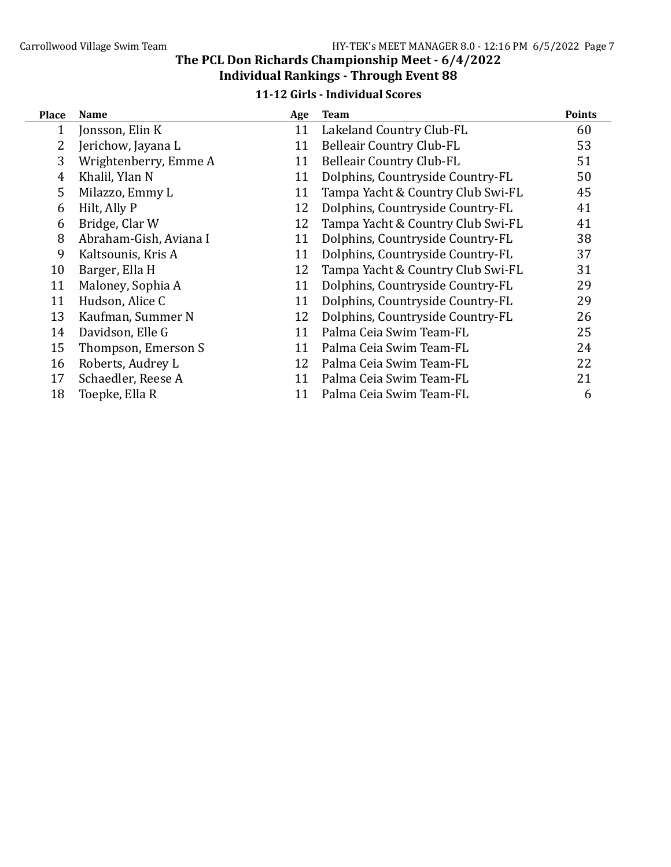#### 11-12 Girls - Individual Scores

| <b>Place</b> | <b>Name</b>            | Age | <b>Team</b>                       | <b>Points</b> |
|--------------|------------------------|-----|-----------------------------------|---------------|
| 1            | Jonsson, Elin K        | 11  | Lakeland Country Club-FL          | 60            |
| 2            | Jerichow, Jayana L     | 11  | <b>Belleair Country Club-FL</b>   | 53            |
| 3            | Wrightenberry, Emme A  | 11  | <b>Belleair Country Club-FL</b>   | 51            |
| 4            | Khalil, Ylan N         | 11  | Dolphins, Countryside Country-FL  | 50            |
| 5            | Milazzo, Emmy L        | 11  | Tampa Yacht & Country Club Swi-FL | 45            |
| 6            | Hilt, Ally P           | 12  | Dolphins, Countryside Country-FL  | 41            |
| 6            | Bridge, Clar W         | 12  | Tampa Yacht & Country Club Swi-FL | 41            |
| 8            | Abraham-Gish, Aviana I | 11  | Dolphins, Countryside Country-FL  | 38            |
| 9            | Kaltsounis, Kris A     | 11  | Dolphins, Countryside Country-FL  | 37            |
| 10           | Barger, Ella H         | 12  | Tampa Yacht & Country Club Swi-FL | 31            |
| 11           | Maloney, Sophia A      | 11  | Dolphins, Countryside Country-FL  | 29            |
| 11           | Hudson, Alice C        | 11  | Dolphins, Countryside Country-FL  | 29            |
| 13           | Kaufman, Summer N      | 12  | Dolphins, Countryside Country-FL  | 26            |
| 14           | Davidson, Elle G       | 11  | Palma Ceia Swim Team-FL           | 25            |
| 15           | Thompson, Emerson S    | 11  | Palma Ceia Swim Team-FL           | 24            |
| 16           | Roberts, Audrey L      | 12  | Palma Ceia Swim Team-FL           | 22            |
| 17           | Schaedler, Reese A     | 11  | Palma Ceia Swim Team-FL           | 21            |
| 18           | Toepke, Ella R         | 11  | Palma Ceia Swim Team-FL           | 6             |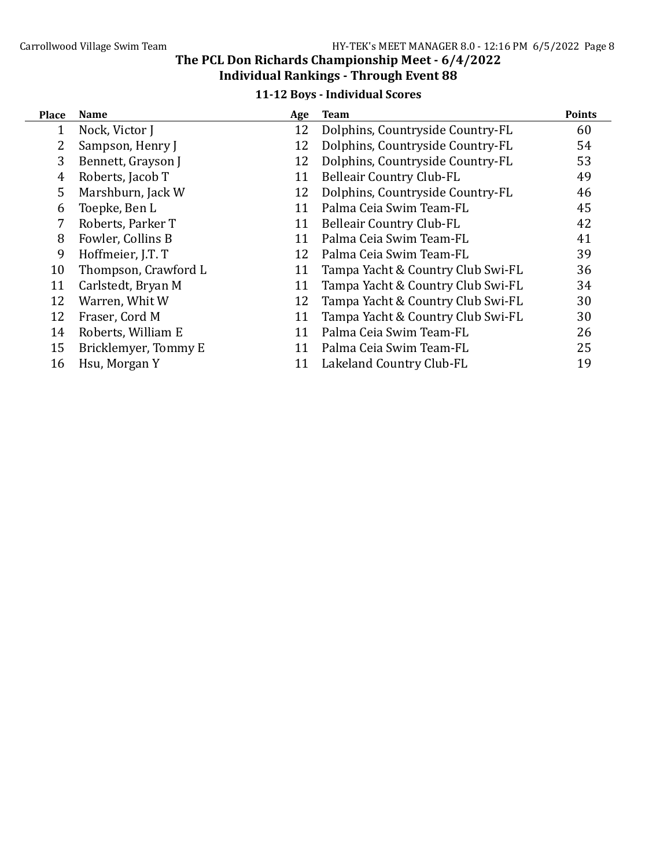### 11-12 Boys - Individual Scores

| <b>Place</b> | <b>Name</b>          | Age | <b>Team</b>                       | <b>Points</b> |
|--------------|----------------------|-----|-----------------------------------|---------------|
|              | Nock, Victor J       | 12  | Dolphins, Countryside Country-FL  | 60            |
| 2            | Sampson, Henry J     | 12  | Dolphins, Countryside Country-FL  | 54            |
| 3            | Bennett, Grayson J   | 12  | Dolphins, Countryside Country-FL  | 53            |
| 4            | Roberts, Jacob T     | 11  | <b>Belleair Country Club-FL</b>   | 49            |
| 5            | Marshburn, Jack W    | 12  | Dolphins, Countryside Country-FL  | 46            |
| 6            | Toepke, Ben L        | 11  | Palma Ceia Swim Team-FL           | 45            |
| 7            | Roberts, Parker T    | 11  | <b>Belleair Country Club-FL</b>   | 42            |
| 8            | Fowler, Collins B    | 11  | Palma Ceia Swim Team-FL           | 41            |
| 9            | Hoffmeier, J.T. T    | 12  | Palma Ceia Swim Team-FL           | 39            |
| 10           | Thompson, Crawford L | 11  | Tampa Yacht & Country Club Swi-FL | 36            |
| 11           | Carlstedt, Bryan M   | 11  | Tampa Yacht & Country Club Swi-FL | 34            |
| 12           | Warren, Whit W       | 12  | Tampa Yacht & Country Club Swi-FL | 30            |
| 12           | Fraser, Cord M       | 11  | Tampa Yacht & Country Club Swi-FL | 30            |
| 14           | Roberts, William E   | 11  | Palma Ceia Swim Team-FL           | 26            |
| 15           | Bricklemyer, Tommy E | 11  | Palma Ceia Swim Team-FL           | 25            |
| 16           | Hsu, Morgan Y        | 11  | Lakeland Country Club-FL          | 19            |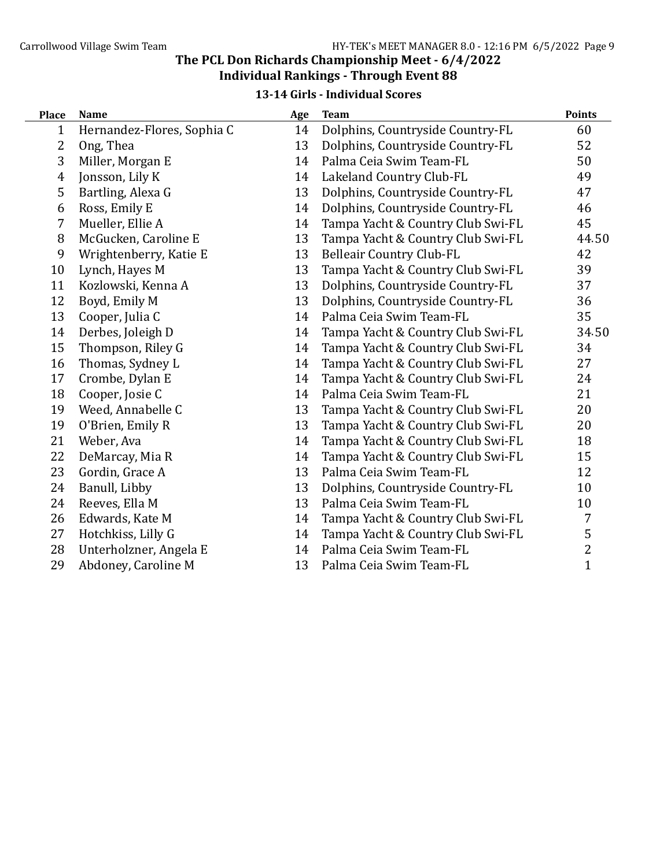#### 13-14 Girls - Individual Scores

| <b>Place</b>   | <b>Name</b>                | Age | <b>Team</b>                       | <b>Points</b>  |
|----------------|----------------------------|-----|-----------------------------------|----------------|
| 1              | Hernandez-Flores, Sophia C | 14  | Dolphins, Countryside Country-FL  | 60             |
| 2              | Ong, Thea                  | 13  | Dolphins, Countryside Country-FL  | 52             |
| 3              | Miller, Morgan E           | 14  | Palma Ceia Swim Team-FL           | 50             |
| $\overline{4}$ | Jonsson, Lily K            | 14  | Lakeland Country Club-FL          | 49             |
| 5              | Bartling, Alexa G          | 13  | Dolphins, Countryside Country-FL  | 47             |
| 6              | Ross, Emily E              | 14  | Dolphins, Countryside Country-FL  | 46             |
| 7              | Mueller, Ellie A           | 14  | Tampa Yacht & Country Club Swi-FL | 45             |
| 8              | McGucken, Caroline E       | 13  | Tampa Yacht & Country Club Swi-FL | 44.50          |
| 9              | Wrightenberry, Katie E     | 13  | <b>Belleair Country Club-FL</b>   | 42             |
| 10             | Lynch, Hayes M             | 13  | Tampa Yacht & Country Club Swi-FL | 39             |
| 11             | Kozlowski, Kenna A         | 13  | Dolphins, Countryside Country-FL  | 37             |
| 12             | Boyd, Emily M              | 13  | Dolphins, Countryside Country-FL  | 36             |
| 13             | Cooper, Julia C            | 14  | Palma Ceia Swim Team-FL           | 35             |
| 14             | Derbes, Joleigh D          | 14  | Tampa Yacht & Country Club Swi-FL | 34.50          |
| 15             | Thompson, Riley G          | 14  | Tampa Yacht & Country Club Swi-FL | 34             |
| 16             | Thomas, Sydney L           | 14  | Tampa Yacht & Country Club Swi-FL | 27             |
| 17             | Crombe, Dylan E            | 14  | Tampa Yacht & Country Club Swi-FL | 24             |
| 18             | Cooper, Josie C            | 14  | Palma Ceia Swim Team-FL           | 21             |
| 19             | Weed, Annabelle C          | 13  | Tampa Yacht & Country Club Swi-FL | 20             |
| 19             | O'Brien, Emily R           | 13  | Tampa Yacht & Country Club Swi-FL | 20             |
| 21             | Weber, Ava                 | 14  | Tampa Yacht & Country Club Swi-FL | 18             |
| 22             | DeMarcay, Mia R            | 14  | Tampa Yacht & Country Club Swi-FL | 15             |
| 23             | Gordin, Grace A            | 13  | Palma Ceia Swim Team-FL           | 12             |
| 24             | Banull, Libby              | 13  | Dolphins, Countryside Country-FL  | 10             |
| 24             | Reeves, Ella M             | 13  | Palma Ceia Swim Team-FL           | 10             |
| 26             | Edwards, Kate M            | 14  | Tampa Yacht & Country Club Swi-FL | 7              |
| 27             | Hotchkiss, Lilly G         | 14  | Tampa Yacht & Country Club Swi-FL | 5              |
| 28             | Unterholzner, Angela E     | 14  | Palma Ceia Swim Team-FL           | $\overline{c}$ |
| 29             | Abdoney, Caroline M        | 13  | Palma Ceia Swim Team-FL           | $\overline{1}$ |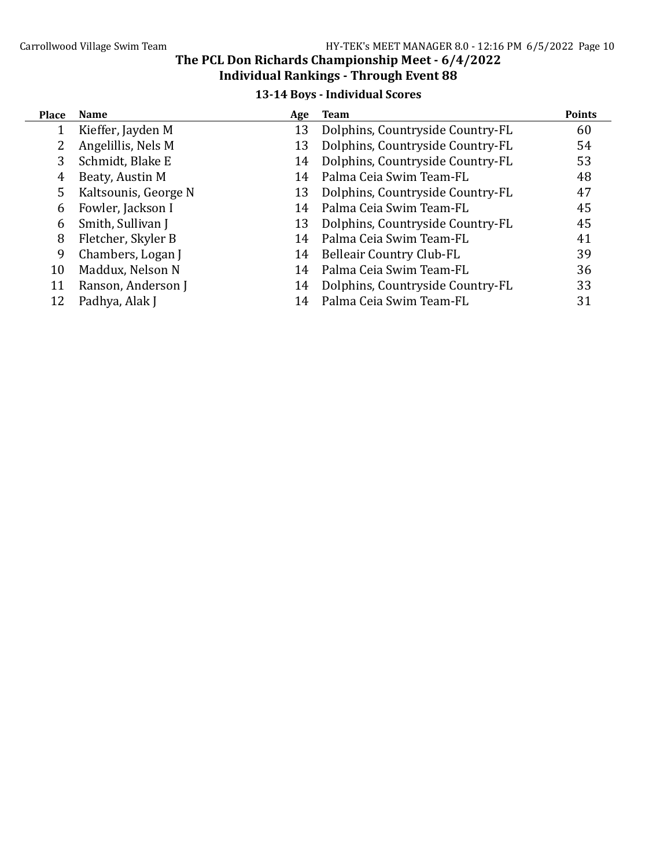# Carrollwood Village Swim Team  $HY-TEK's MEET MANAGER 8.0 - 12:16 PM 6/5/2022 Page 10$

#### The PCL Don Richards Championship Meet - 6/4/2022 Individual Rankings - Through Event 88

# 13-14 Boys - Individual Scores

| <b>Place</b> | <b>Name</b>          | Age | Team                             | <b>Points</b> |
|--------------|----------------------|-----|----------------------------------|---------------|
|              | Kieffer, Jayden M    | 13  | Dolphins, Countryside Country-FL | 60            |
|              | Angelillis, Nels M   | 13  | Dolphins, Countryside Country-FL | 54            |
| 3            | Schmidt, Blake E     | 14  | Dolphins, Countryside Country-FL | 53            |
| 4            | Beaty, Austin M      | 14  | Palma Ceia Swim Team-FL          | 48            |
| 5            | Kaltsounis, George N | 13  | Dolphins, Countryside Country-FL | 47            |
| 6            | Fowler, Jackson I    | 14  | Palma Ceia Swim Team-FL          | 45            |
| 6            | Smith, Sullivan J    | 13  | Dolphins, Countryside Country-FL | 45            |
| 8            | Fletcher, Skyler B   | 14  | Palma Ceia Swim Team-FL          | 41            |
| 9            | Chambers, Logan J    | 14  | Belleair Country Club-FL         | 39            |
| 10           | Maddux, Nelson N     | 14  | Palma Ceia Swim Team-FL          | 36            |
| 11           | Ranson, Anderson J   | 14  | Dolphins, Countryside Country-FL | 33            |
| 12           | Padhya, Alak J       |     | Palma Ceia Swim Team-FL          | 31            |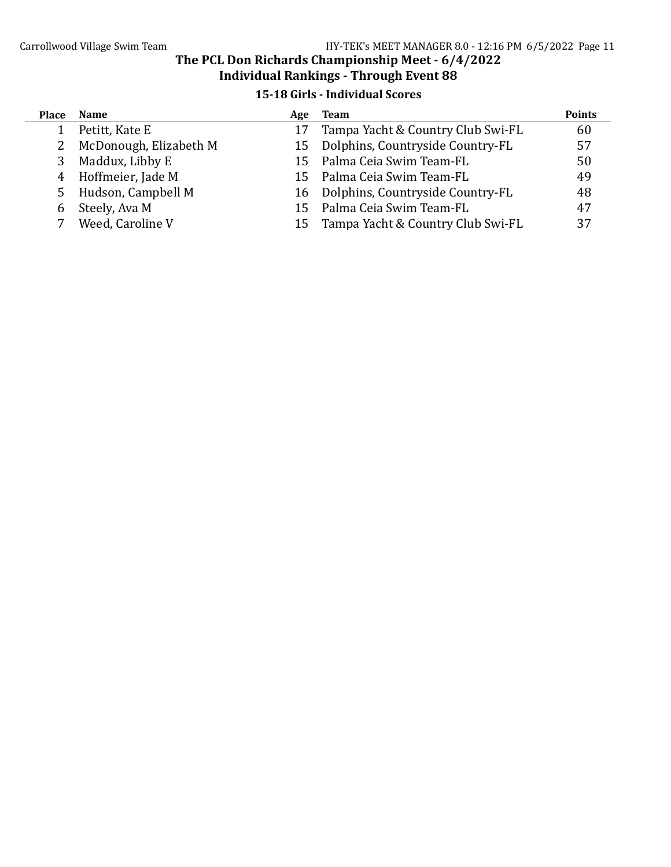## 15-18 Girls - Individual Scores

| <b>Place</b> | <b>Name</b>            | Age | <b>Team</b>                         | <b>Points</b> |
|--------------|------------------------|-----|-------------------------------------|---------------|
|              | Petitt, Kate E         |     | Tampa Yacht & Country Club Swi-FL   | 60            |
| 2            | McDonough, Elizabeth M |     | 15 Dolphins, Countryside Country-FL | 57            |
| 3            | Maddux, Libby E        | 15. | Palma Ceia Swim Team-FL             | 50            |
| 4            | Hoffmeier, Jade M      | 15. | Palma Ceia Swim Team-FL             | 49            |
| 5            | Hudson, Campbell M     |     | 16 Dolphins, Countryside Country-FL | 48            |
| 6            | Steely, Ava M          | 15  | Palma Ceia Swim Team-FL             | 47            |
|              | Weed, Caroline V       | 15. | Tampa Yacht & Country Club Swi-FL   | 37            |